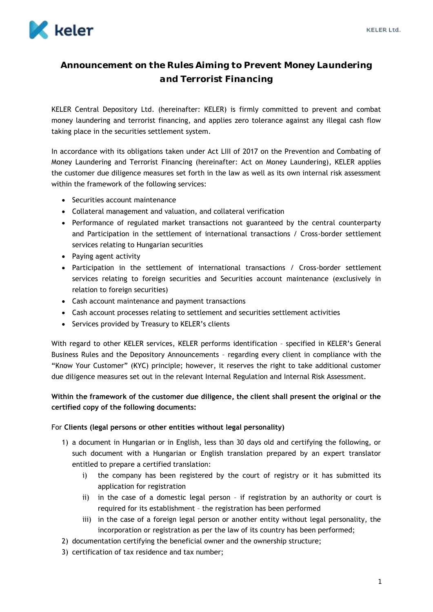

## **Announcement on the Rules Aiming to Prevent Money Laundering and Terrorist Financing**

KELER Central Depository Ltd. (hereinafter: KELER) is firmly committed to prevent and combat money laundering and terrorist financing, and applies zero tolerance against any illegal cash flow taking place in the securities settlement system.

In accordance with its obligations taken under Act LIII of 2017 on the Prevention and Combating of Money Laundering and Terrorist Financing (hereinafter: Act on Money Laundering), KELER applies the customer due diligence measures set forth in the law as well as its own internal risk assessment within the framework of the following services:

- Securities account maintenance
- Collateral management and valuation, and collateral verification
- Performance of regulated market transactions not guaranteed by the central counterparty and Participation in the settlement of international transactions / Cross-border settlement services relating to Hungarian securities
- Paying agent activity
- Participation in the settlement of international transactions / Cross-border settlement services relating to foreign securities and Securities account maintenance (exclusively in relation to foreign securities)
- Cash account maintenance and payment transactions
- Cash account processes relating to settlement and securities settlement activities
- Services provided by Treasury to KELER's clients

With regard to other KELER services, KELER performs identification – specified in KELER's General Business Rules and the Depository Announcements – regarding every client in compliance with the "Know Your Customer" (KYC) principle; however, it reserves the right to take additional customer due diligence measures set out in the relevant Internal Regulation and Internal Risk Assessment.

## **Within the framework of the customer due diligence, the client shall present the original or the certified copy of the following documents:**

## For **Clients (legal persons or other entities without legal personality)**

- 1) a document in Hungarian or in English, less than 30 days old and certifying the following, or such document with a Hungarian or English translation prepared by an expert translator entitled to prepare a certified translation:
	- i) the company has been registered by the court of registry or it has submitted its application for registration
	- ii) in the case of a domestic legal person if registration by an authority or court is required for its establishment – the registration has been performed
	- iii) in the case of a foreign legal person or another entity without legal personality, the incorporation or registration as per the law of its country has been performed;
- 2) documentation certifying the beneficial owner and the ownership structure;
- 3) certification of tax residence and tax number;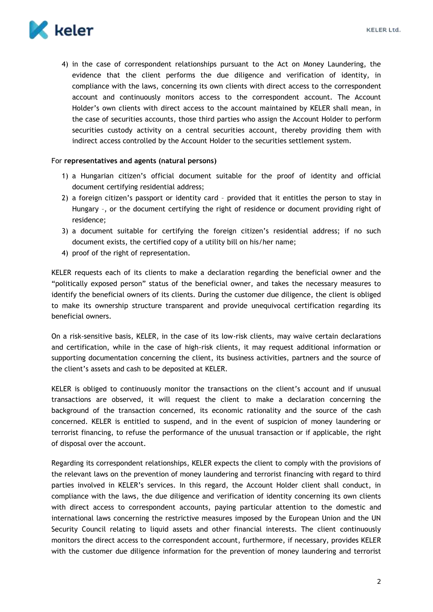

4) in the case of correspondent relationships pursuant to the Act on Money Laundering, the evidence that the client performs the due diligence and verification of identity, in compliance with the laws, concerning its own clients with direct access to the correspondent account and continuously monitors access to the correspondent account. The Account Holder's own clients with direct access to the account maintained by KELER shall mean, in the case of securities accounts, those third parties who assign the Account Holder to perform securities custody activity on a central securities account, thereby providing them with indirect access controlled by the Account Holder to the securities settlement system.

## For **representatives and agents (natural persons)**

- 1) a Hungarian citizen's official document suitable for the proof of identity and official document certifying residential address;
- 2) a foreign citizen's passport or identity card provided that it entitles the person to stay in Hungary –, or the document certifying the right of residence or document providing right of residence;
- 3) a document suitable for certifying the foreign citizen's residential address; if no such document exists, the certified copy of a utility bill on his/her name;
- 4) proof of the right of representation.

KELER requests each of its clients to make a declaration regarding the beneficial owner and the "politically exposed person" status of the beneficial owner, and takes the necessary measures to identify the beneficial owners of its clients. During the customer due diligence, the client is obliged to make its ownership structure transparent and provide unequivocal certification regarding its beneficial owners.

On a risk-sensitive basis, KELER, in the case of its low-risk clients, may waive certain declarations and certification, while in the case of high-risk clients, it may request additional information or supporting documentation concerning the client, its business activities, partners and the source of the client's assets and cash to be deposited at KELER.

KELER is obliged to continuously monitor the transactions on the client's account and if unusual transactions are observed, it will request the client to make a declaration concerning the background of the transaction concerned, its economic rationality and the source of the cash concerned. KELER is entitled to suspend, and in the event of suspicion of money laundering or terrorist financing, to refuse the performance of the unusual transaction or if applicable, the right of disposal over the account.

Regarding its correspondent relationships, KELER expects the client to comply with the provisions of the relevant laws on the prevention of money laundering and terrorist financing with regard to third parties involved in KELER's services. In this regard, the Account Holder client shall conduct, in compliance with the laws, the due diligence and verification of identity concerning its own clients with direct access to correspondent accounts, paying particular attention to the domestic and international laws concerning the restrictive measures imposed by the European Union and the UN Security Council relating to liquid assets and other financial interests. The client continuously monitors the direct access to the correspondent account, furthermore, if necessary, provides KELER with the customer due diligence information for the prevention of money laundering and terrorist